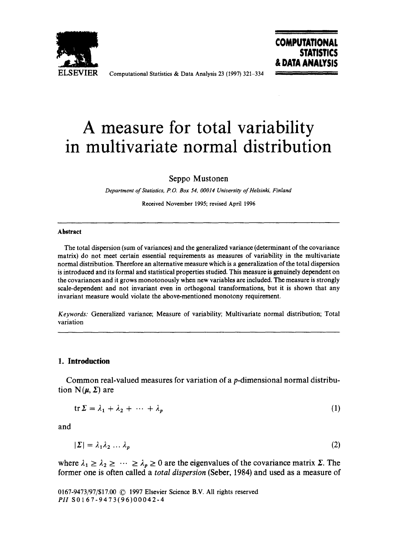

ELSEVIER Computational Statistics & Data Analysis 23 (1997) 321-334

## **COMPUTATIONAL STATISTICS & DATA ANALYSIS**

# **A measure for total variability in multivariate normal distribution**

Seppo Mustonen

*Department of Statistics, P.O. Box 54, 00014 University of Helsinki, Finland* 

Received November 1995; revised April 1996

#### **Abstract**

The total dispersion (sum of variances) and the generalized variance (determinant of the covariance matrix) do not meet certain essential requirements as measures of variability in the multivariate normal distribution. Therefore an alternative measure which is a generalization of the total dispersion is introduced and its formal and statistical properties studied. This measure is genuinely dependent on the covariances and it grows monotonously when new variables are included. The measure is strongly scale-dependent and not invariant even in orthogonal transformations, but it is shown that any invariant measure would violate the above-mentioned monotony requirement,

*Keywords:* Generalized variance; Measure of variability; Multivariate normal distribution; Total variation

#### . **Introduction**

Common real-valued measures for variation of a p-dimensional normal distribution  $N(\mu, \Sigma)$  are

$$
\operatorname{tr} \Sigma = \lambda_1 + \lambda_2 + \dots + \lambda_p \tag{1}
$$

and

$$
|\Sigma| = \lambda_1 \lambda_2 \dots \lambda_p \tag{2}
$$

where  $\lambda_1 \geq \lambda_2 \geq \cdots \geq \lambda_p \geq 0$  are the eigenvalues of the covariance matrix  $\lambda$ . The former one is often called a *total dispersion* (Seber, 1984) and used as a measure of

0167-9473/97/\$17.00 © 1997 Elsevier Science B.V. All rights reserved *PII* S0 1 67-9473(96)00042-4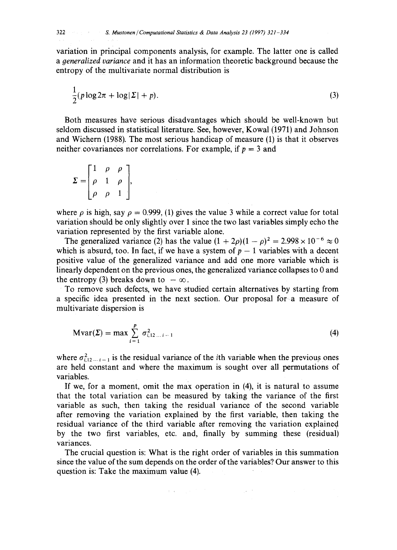<sup>322</sup>*S. Mustonen / Computational Statistics & Data Analysis 23 (1997) 321-334* 

variation in principal components analysis, for example. The latter one is called *a oeneralized variance* and it has an information theoretic background because the entropy of the multivariate normal distribution is

$$
\frac{1}{2}(p\log 2\pi + \log |\Sigma| + p). \tag{3}
$$

Both measures have serious disadvantages which should be well-known but seldom discussed in statistical literature. See, however,: Kowal (i971) and Johnson and Wichern (1988). The most serious handicap of measure (1) is that it observes neither covariances nor correlations. For example, if  $p = 3$  and

$$
\Sigma = \begin{bmatrix} 1 & \rho & \rho \\ \rho & 1 & \rho \\ \rho & \rho & 1 \end{bmatrix},
$$

where  $\rho$  is high, say  $\rho = 0.999$ , (1) gives the value 3 while a correct value for total variation should be only slightly over 1 since the two last variables simply echo the variation represented by the first variable alone.

The generalized variance (2) has the value  $(1 + 2\rho)(1 - \rho)^2 = 2.998 \times 10^{-6} \approx 0$ which is absurd, too. In fact, if we have a system of  $p - 1$  variables with a decent positive value of the generalized variance and add one more variable which is linearly dependent on the previous ones, the generalized variance collapses to 0 and the entropy (3) breaks down to  $-\infty$ .

To remove such defects, we have studied certain alternatives by starting from a specific idea presented in the next section. Our proposal for a measure of multivariate dispersion is

$$
Mvar(\Sigma) = \max \sum_{i=1}^{p} \sigma_{i,12\ldots i-1}^{2}
$$
 (4)

where  $\sigma_{i12\ldots i-1}^2$  is the residual variance of the *i*th variable when the previous ones are held constant and where the maximum is sought over all permutations of variables.

If we, for a moment, omit the max operation in (4), it is natural to assume that the total variation can be measured by taking the variance of the first variable as such, then taking the residual variance of the second variable after removing the variation explained by the first variable, then taking the residual variance of the third variable after removing the variation explained by the two first variables, etc. and, finally by summing these (residual) variances.

The crucial question is: What is the right order of variables in this summation since the value of the sum depends on the order of the variables? Our answer to this question is: Take the maximum value (4).

 $\mathcal{A}^{\mathcal{A}}$  and  $\mathcal{A}^{\mathcal{A}}$  are  $\mathcal{A}^{\mathcal{A}}$  . In the contribution of the contribution of  $\mathcal{A}^{\mathcal{A}}$ 

 $\frac{1}{2} \sqrt{1 + \frac{1}{2}}$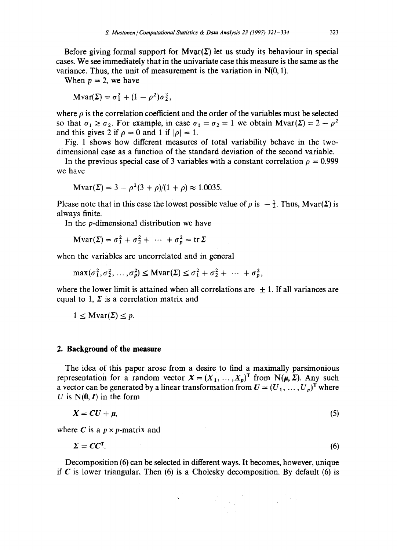Before giving formal support for Myar( $\Sigma$ ) let us study its behaviour in special cases. We see immediately that in the univariate case this measure is the same as the variance. Thus, the unit of measurement is the variation in N(0, 1).

When  $p = 2$ , we have

$$
\text{Mvar}(\Sigma) = \sigma_1^2 + (1 - \rho^2)\sigma_2^2,
$$

where  $\rho$  is the correlation coefficient and the order of the variables must be selected so that  $\sigma_1 \ge \sigma_2$ . For example, in case  $\sigma_1 = \sigma_2 = 1$  we obtain  $Mvar(\Sigma) = 2 - \rho^2$ and this gives 2 if  $\rho = 0$  and 1 if  $|\rho| = 1$ .

Fig. 1 shows how different measures of total variability behave in the twodimensional case as a function of the standard deviation of the second variable.

In the previous special case of 3 variables with a constant correlation  $\rho = 0.999$ we have

$$
Mvar(\Sigma) = 3 - \rho^2 (3 + \rho)/(1 + \rho) \approx 1.0035.
$$

Please note that in this case the lowest possible value of  $\rho$  is  $-\frac{1}{2}$ . Thus, Mvar( $\Sigma$ ) is always finite.

In the p-dimensional distribution we have

$$
\operatorname{Mvar}(\Sigma) = \sigma_1^2 + \sigma_2^2 + \cdots + \sigma_p^2 = \operatorname{tr} \Sigma
$$

when the variables are uncorrelated and in general

$$
\max(\sigma_1^2, \sigma_2^2, \ldots, \sigma_p^2) \leq \text{Mvar}(\Sigma) \leq \sigma_1^2 + \sigma_2^2 + \cdots + \sigma_p^2,
$$

where the lower limit is attained when all correlations are  $+1$ . If all variances are equal to 1,  $\Sigma$  is a correlation matrix and

$$
1 \leq \text{Mvar}(\Sigma) \leq p.
$$

#### **2. Background of the measure**

The idea of this paper arose from a desire to find a maximally parsimonious representation for a random vector  $X = (X_1, \ldots, X_p)^T$  from  $N(\mu, \Sigma)$ . Any such a vector can be generated by a linear transformation from  $U = (U_1, \ldots, U_p)^T$  where U is  $N(0, I)$  in the form

$$
X = CU + \mu, \tag{5}
$$

where C is a  $p \times p$ -matrix and

$$
\Sigma = CC^{\mathsf{T}}.\tag{6}
$$

Decomposition (6) can be selected in different ways. It becomes, however, unique if  $C$  is lower triangular, Then (6) is a Cholesky decomposition. By default (6) is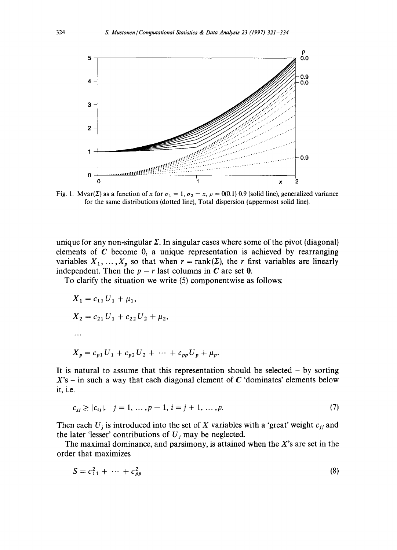

Fig. 1. Mvar( $\Sigma$ ) as a function of x for  $\sigma_1 = 1$ ,  $\sigma_2 = x$ ,  $\rho = 0(0.1)$  0.9 (solid line), generalized variance for the same distributions (dotted line), Total dispersion (uppermost solid line).

unique for any non-singular  $\Sigma$ . In singular cases where some of the pivot (diagonal) elements of  $C$  become 0, a unique representation is achieved by rearranging variables  $X_1, \ldots, X_p$  so that when  $r = \text{rank}(\Sigma)$ , the r first variables are linearly independent. Then the  $p - r$  last columns in C are set 0.

To clarify the situation we write (5) componentwise as follows:

$$
X_1 = c_{11} U_1 + \mu_1,
$$
  
\n
$$
X_2 = c_{21} U_1 + c_{22} U_2 + \mu_2,
$$
  
\n...  
\n
$$
X_p = c_{p1} U_1 + c_{p2} U_2 + \dots + c_{pp} U_p + \mu_p.
$$

It is natural to assume that this representation should be selected  $-$  by sorting  $X$ 's – in such a way that each diagonal element of C 'dominates' elements below it, i.e.

$$
c_{jj} \ge |c_{ij}|, \quad j = 1, \dots, p - 1, \quad i = j + 1, \dots, p. \tag{7}
$$

Then each  $U_j$  is introduced into the set of X variables with a 'great' weight  $c_{jj}$  and the later 'lesser' contributions of  $U_i$  may be neglected.

The maximal dominance, and parsimony, is attained when the  $X$ 's are set in the order that maximizes

$$
S = c_{11}^2 + \dots + c_{pp}^2 \tag{8}
$$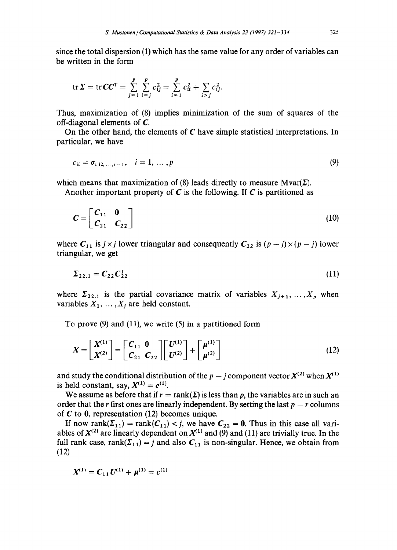since the total dispersion (1) which has the same value for any order of variables can be written in the form

$$
\operatorname{tr} \Sigma = \operatorname{tr} CC^{T} = \sum_{j=1}^{p} \sum_{i=j}^{p} c_{ij}^{2} = \sum_{i=1}^{p} c_{ii}^{2} + \sum_{i>j} c_{ij}^{2}.
$$

Thus, maximization of (8) implies minimization of the sum of squares of the off-diagonal elements of C.

On the other hand, the elements of  $C$  have simple statistical interpretations. In particular, we have

$$
c_{ii} = \sigma_{i,12,\dots,i-1}, \quad i = 1,\dots,p
$$
 (9)

which means that maximization of (8) leads directly to measure  $Mvar(\Sigma)$ .

Another important property of C is the following. If C is partitioned as

$$
C = \begin{bmatrix} C_{11} & 0 \\ C_{21} & C_{22} \end{bmatrix} \tag{10}
$$

where  $C_{11}$  is  $j \times j$  lower triangular and consequently  $C_{22}$  is  $(p - j) \times (p - j)$  lower triangular, we get

$$
\Sigma_{22.1} = C_{22} C_{22}^{T} \tag{11}
$$

where  $\Sigma_{22.1}$  is the partial covariance matrix of variables  $X_{j+1}, \ldots, X_p$  when variables  $X_1, \ldots, X_i$  are held constant.

To prove (9) and (11), we write (5) in a partitioned form

$$
X = \begin{bmatrix} X^{(1)} \\ X^{(2)} \end{bmatrix} = \begin{bmatrix} C_{11} & 0 \\ C_{21} & C_{22} \end{bmatrix} \begin{bmatrix} U^{(1)} \\ U^{(2)} \end{bmatrix} + \begin{bmatrix} \mu^{(1)} \\ \mu^{(2)} \end{bmatrix}
$$
(12)

and study the conditional distribution of the  $p - j$  component vector  $X^{(2)}$  when  $X^{(1)}$ is held constant, say,  $X^{(1)} = c^{(1)}$ .

We assume as before that if  $r = \text{rank}(\Sigma)$  is less than p, the variables are in such an order that the r first ones are linearly independent. By setting the last  $p - r$  columns of  $C$  to  $0$ , representation (12) becomes unique.

If now rank $(\Sigma_{11})$  = rank $(C_{11})$  < j, we have  $C_{22} = 0$ . Thus in this case all variables of  $X^{(2)}$  are linearly dependent on  $X^{(1)}$  and (9) and (11) are trivially true. In the full rank case, rank( $\Sigma_{11}$ ) = j and also  $C_{11}$  is non-singular. Hence, we obtain from (12)

$$
X^{(1)} = C_{11} U^{(1)} + \mu^{(1)} = c^{(1)}
$$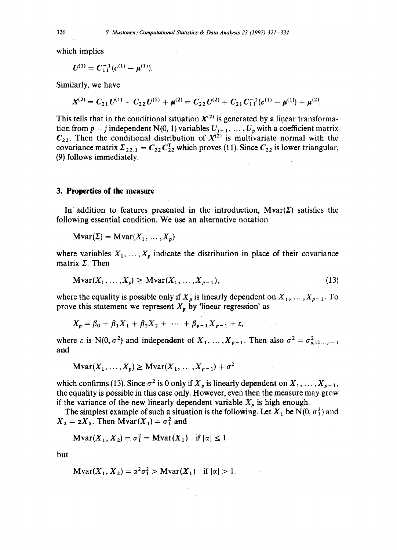which implies

$$
U^{(1)}=C_{11}^{-1}(c^{(1)}-\mu^{(1)}).
$$

Similarly, we have

$$
X^{(2)}=C_{21}U^{(1)}+C_{22}U^{(2)}+\mu^{(2)}=C_{22}U^{(2)}+C_{21}C_{11}^{-1}(c^{(1)}-\mu^{(1)})+\mu^{(2)}.
$$

This tells that in the conditional situation  $X^{(2)}$  is generated by a linear transformation from  $p - j$  independent N(0, 1) variables  $U_{j+1}, \ldots, U_p$  with a coefficient matrix  $C_{22}$ . Then the conditional distribution of  $X^{(2)}$  is multivariate normal with the covariance matrix  $\Sigma_{22,1} = C_{22} C_{22}^{T}$  which proves (11). Since  $C_{22}$  is lower triangular, (9) follows immediately.

#### **3. Properties of the measure**

In addition to features presented in the introduction,  $Mvar(\Sigma)$  satisfies the following essential condition. We use an alternative notation

$$
Mvar(\Sigma) = Mvar(X_1, ..., X_p)
$$

where variables  $X_1, \ldots, X_p$  indicate the distribution in place of their covariance matrix  $\Sigma$ . Then

$$
\text{Mvar}(X_1, \dots, X_p) \ge \text{Mvar}(X_1, \dots, X_{p-1}),\tag{13}
$$

 $\mathcal{O}(\mathcal{O}_{\mathcal{O}_{\mathcal{O}_{\mathcal{O}_{\mathcal{O}}}}})$  , and

where the equality is possible only if  $X_p$  is linearly dependent on  $X_1, \ldots, X_{p-1}$ . To prove this statement we represent  $X_{\nu}$  by 'linear regression' as

$$
X_p = \beta_0 + \beta_1 X_1 + \beta_2 X_2 + \cdots + \beta_{p-1} X_{p-1} + \varepsilon,
$$

where  $\varepsilon$  is N(0,  $\sigma^2$ ) and independent of  $X_1, \ldots, X_{p-1}$ . Then also  $\sigma^2 = \sigma_{p,12\ldots p-1}^2$ and

$$
\text{Mvar}(X_1, \ldots, X_p) \ge \text{Mvar}(X_1, \ldots, X_{p-1}) + \sigma^2
$$

which confirms (13). Since  $\sigma^2$  is 0 only if  $X_p$  is linearly dependent on  $X_1, \ldots, X_{p-1}$ , the equality is possible in this case only. However, even then the measure may grow if the variance of the new linearly dependent variable  $X_p$  is high enough.

The simplest example of such a situation is the following. Let  $X_1$  be N(0,  $\sigma_1^2$ ) and  $X_2 = \alpha X_1$ . Then Mvar $(X_1) = \sigma_1^2$  and

$$
\mathbf{Mvar}(X_1, X_2) = \sigma_1^2 = \mathbf{Mvar}(X_1) \quad \text{if } |\alpha| \le 1
$$

but

$$
\mathbf{M}\mathbf{var}(X_1, X_2) = \alpha^2 \sigma_1^2 > \mathbf{M}\mathbf{var}(X_1) \quad \text{if } |\alpha| > 1.
$$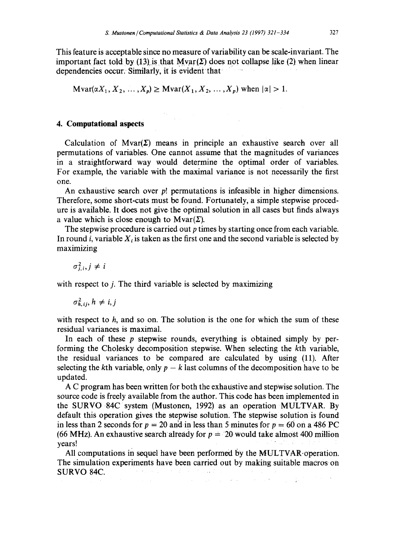This feature is acceptable since no measure of variability can be scale-invariant. The important fact told by (13) is that  $Mvar(\Sigma)$  does not collapse like (2) when linear dependencies occur: Similarly, it is evident' that

 $\text{Mvar}(\alpha X_1, X_2, \ldots, X_p) \geq \text{Mvar}(X_1, X_2, \ldots, X_p)$  when  $|\alpha| > 1$ .

#### **4. Computational aspects**

Calculation of  $Mvar(\Sigma)$  means in principle an exhaustive search over all permutations of variables. One cannot assume that the magnitudes of variances in a straightforward way would determine the optimal order of variables. For example, the variable with the maximal variance is not necessarily the first one.

An exhaustive search over  $p!$  permutations is infeasible in higher dimensions. Therefore, some short-cuts must be found. Fortunately, a simple stepwise procedure is available. It does not give the optimal solution in all cases but finds always a value which is close enough to  $Mvar(\Sigma)$ .

The stepwise procedure is carried out  $p$  times by starting once from each variable. In round i, variable  $X_i$  is taken as the first one and the second variable is selected by maximizing

 $\sigma_{ii}^2$ ,  $j \neq i$ 

with respect to *i*. The third variable is selected by maximizing

 $\sigma_{h}^2$ <sub>*ii, h*  $\neq$  *i, j*</sub>

with respect to  $h$ , and so on. The solution is the one for which the sum of these residual variances is maximal.

In each of these  $p$  stepwise rounds, everything is obtained simply by performing the Cholesky decomposition stepwise. When selecting the kth variable, the residual variances to be compared are calculated by using (11). After selecting the kth variable, only  $p - k$  last columns of the decomposition have to be updated.

A C program has been written for both the exhaustive and stepwise solution. The source code is freely available from the author. This code has been implemented in the SURVO 84C system (Mustonen, 1992) as an operation MULTVAR. By default this operation gives the stepwise solution. The stepwise solution is found in less than 2 seconds for  $p = 20$  and in less than 5 minutes for  $p = 60$  on a 486 PC (66 MHz). An exhaustive search already for  $p = 20$  would take almost 400 million years!

All computations in sequel have been performed by the MULTVAR-operation. The simulation experiments have been carried out by making suitable macros on SURVO 84C. and the company of the control of the , where the contribution of the contribution of the contribution of the contribution of the contribution of the contribution of the contribution of the contribution of the contribution of the contribution of the contribut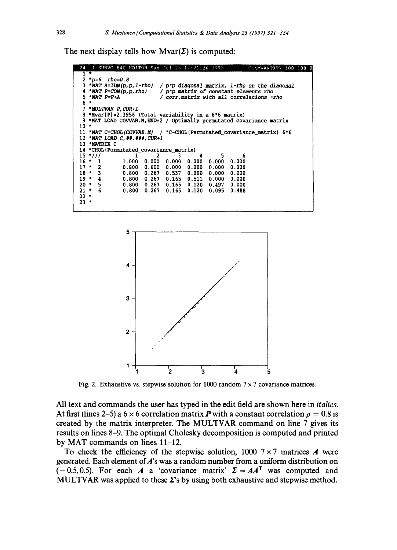The next display tells how  $Mvar(\Sigma)$  is computed:

```
SURVO 84C EDITOR Sun Jul 23 12:21:26 1995
                                                               ":\MVARTXT\ 100 100 0
 2 *p=6 rho=0.8<br>3 *MAT A=IDN(p,p,1-rho)
   *p=6 rho=0.8 
                             *MAT A=IDN(p,p, l-rho) / p*p diagonal matrix, l-rho on the diagonal 
 3 *MAT A=IDN(p, p, 1-rh)<br>4 *MAT P=CON(p, p, rho)
 4 *MAT P=CON<br>5 *MAT P=P+A
                              *MAT P=CON(p,p, rho) / p*p matrix of constant elements rho 
                              *MAT P=P+A / corr.matrix with all correlations =rho 
 5 
 6 
   * MULTVAR P, CUR+ I 
 7
 8 
   *Mvar[P]=2.3956 (Total variability in a 6*6 matrix) 
   *MAT LOAD COVVAR.M,END+2 / Optimally permutated covariance matrix 
و<br>10
11 *MAT C=CHOL(COVVAR.M)
                             / *C~CHOL(Permutated_covariance_matrix) 6*6
12 
*MAT LOAD C, ##. ###, CUR+I 
13 
*MATRIX C 
14 
   *CHOL (Permutated_covariance matrix ) 
\frac{15 \times 77}{16 \times 1}*/// 1 2 3 4 5 6
\frac{16}{17} *
    * I 1.000 0.000 0.000 0.000 0.000 0.000 
\frac{17}{18} *
    * 2 0.800 0.600 0.000 0.000 0.000 0.000 
\frac{18}{19} *
    * 3 0.800 0.267 0.537 0.000 0.000 0.000 
\frac{19}{20} *
    * 4 0.800 0.267 0.165 0.511 0.000 0.000 
20 
    * 5 0.800 0.267 0.165 0.120 0.497 0.000 
21 ** 6 0.800 0.267 0.165 0.120 0.095 0.488 
22 *
23 *
```


Fig. 2. Exhaustive vs. stepwise solution for 1000 random  $7 \times 7$  covariance matrices.

**All text and commands the user has typed in the edit field are shown here in** *italics.*  At first (lines 2–5) a  $6 \times 6$  correlation matrix P with a constant correlation  $\rho = 0.8$  is **created by the matrix interpreter. The MULTVAR command on line 7 gives its results on lines 8-9. The optimal Cholesky decomposition is computed and printed by MAT commands on lines 11-12.** 

To check the efficiency of the stepwise solution,  $1000 \, 7 \times 7$  matrices A were **generated. Each element of A's was a random number from a uniform distribution on**   $(-0.5, 0.5)$ . For each A a 'covariance matrix'  $\Sigma = AA^T$  was computed and **MULTVAR** was applied to these  $\Sigma$ 's by using both exhaustive and stepwise method.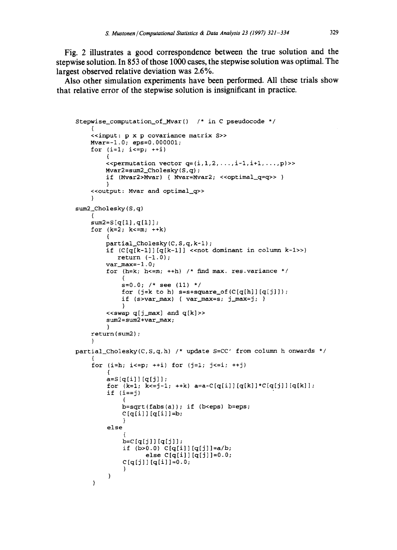**Fig. 2 illustrates a good correspondence between the true solution and the stepwise solution. In 853 of those 1000 cases, the stepwise solution was optimal. The largest observed relative deviation was 2.6%.** 

**Also other simulation experiments have been performed. All these trials show that relative error of the stepwise solution is insignificant in practice.** 

```
Stepwise_computation of Mvar() /* in C pseudocode */ 
    \sqrt{2}<<input: p x p covariance matrix S>> 
    Mvar=-l.O; eps=O.000001; 
    for (i=1; i<=p; ++i){ 
        \leqpermutation vector q=(i,1,2,\ldots,i-1,i+1,\ldots,p)>>
        Mvar2=sum2_Cholesky(S,q);if (Mvar2>Mvar) { Mvar=Mvar2; <<optimal_q=q>> }
        } 
    <<output: Mvar and optimal_q>> 
    ) 
sum2 Cholesky(S,q)
    { 
    sum2=S[q[1],q[1]];
    for (k=2; k<=m; ++k){ 
        partial Cholesky(C,S,q,k-1) ; 
        if (C[q[k-1])[q[k-1]] << not dominant in column k-1>>)
            return (-1.0);
        var_max=-1.0;
         for (h=k; h<=m; ++h) /* find max. res.variance */
              ( 
             s=OoO; /* see (ii) */ 
             for (j=k \text{ to } h) s=s+square_of(C[q[h]] [q[j]]);
             if (s > var_max) { var_max=s; j_max=j; }
             } 
         \leqswap q[j_max] and q[k]>>
         sum2 = sum2 +var_max; 
         } 
    return ( sum2 ) ; 
    } 
partial_Cholesky(C,S,q,h) /* update S=CC' from column h onwards */ 
     { 
    for (i=h; i<=p; ++i) for (j=1; j<=i; ++j){ 
         a = S[q[i]] [q[j]];for (k=1; k<=j-1; ++k) a=a-C[q[i]][q[k]]*C[q[j]][q[k]];if (i==j){ 
             b = sqrt(fabs(a)); if (b < eps) b = eps;C[q[i]] [q[i]] = b;} 
         else 
              { 
             b=C[q[j]][q[j]] ;
             if (b>0.0) C[q[i]][q[j]]=a/b;else C[q[i]] [q[j]] = 0.0;C[q[j]] [q[i]] = 0.0;} 
         } \mathbf{)}
```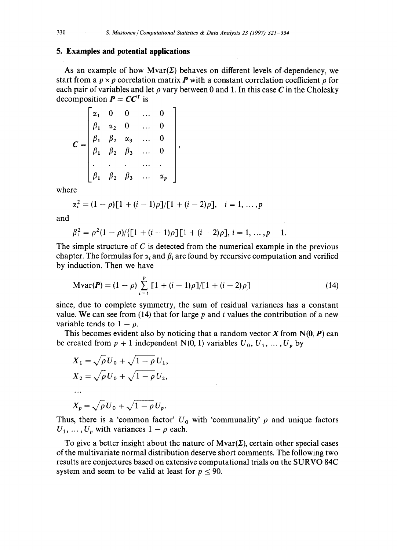#### **5. Examples and potential applications**

As an example of how  $Mvar(\Sigma)$  behaves on different levels of dependency, we start from a  $p \times p$  correlation matrix **P** with a constant correlation coefficient  $\rho$  for each pair of variables and let  $\rho$  vary between 0 and 1. In this case C in the Cholesky decomposition  $P = CC<sup>T</sup>$  is

$$
C = \begin{bmatrix} \alpha_1 & 0 & 0 & \dots & 0 \\ \beta_1 & \alpha_2 & 0 & \dots & 0 \\ \beta_1 & \beta_2 & \alpha_3 & \dots & 0 \\ \beta_1 & \beta_2 & \beta_3 & \dots & 0 \\ \vdots & \vdots & \vdots & \ddots & \vdots \\ \beta_1 & \beta_2 & \beta_3 & \dots & \alpha_p \end{bmatrix},
$$

where

$$
\alpha_i^2 = (1 - \rho)[1 + (i - 1)\rho]/[1 + (i - 2)\rho], \quad i = 1, ..., p
$$

and

$$
\beta_i^2 = \rho^2 (1 - \rho) / \{ [1 + (i - 1)\rho] [1 + (i - 2)\rho], i = 1, ..., p - 1.
$$

The simple structure of C is detected from the numerical example in the previous chapter. The formulas for  $\alpha_i$  and  $\beta_i$  are found by recursive computation and verified by induction. Then we have

$$
\text{Mvar}(\boldsymbol{P}) = (1 - \rho) \sum_{i=1}^{p} \left[ 1 + (i - 1)\rho \right] / \left[ 1 + (i - 2)\rho \right] \tag{14}
$$

since, due to complete symmetry, the sum of residual variances has a constant value. We can see from (14) that for large p and i values the contribution of a new variable tends to  $1 - \rho$ .

This becomes evident also by noticing that a random vector X from  $N(0, P)$  can be created from  $p + 1$  independent N(0, 1) variables  $U_0, U_1, \ldots, U_p$  by

$$
X_1 = \sqrt{\rho} U_0 + \sqrt{1 - \rho} U_1,
$$
  
\n
$$
X_2 = \sqrt{\rho} U_0 + \sqrt{1 - \rho} U_2,
$$
  
\n...  
\n
$$
X_p = \sqrt{\rho} U_0 + \sqrt{1 - \rho} U_p.
$$

Thus, there is a 'common factor'  $U_0$  with 'communality'  $\rho$  and unique factors  $U_1, \ldots, U_p$  with variances  $1 - \rho$  each.

To give a better insight about the nature of  $Mvar(\Sigma)$ , certain other special cases of the multivariate normal distribution deserve short comments. The following two results are conjectures based on extensive computational trials on the SURVO 84C system and seem to be valid at least for  $p \le 90$ .

$$
330\\
$$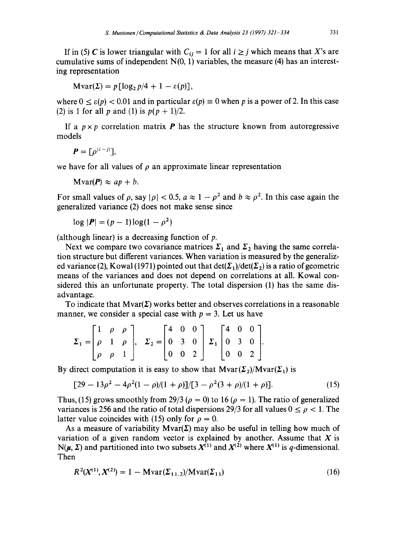If in (5) C is lower triangular with  $C_{ij} = 1$  for all  $i \ge j$  which means that X's are cumulative sums of independent  $N(0, 1)$  variables, the measure (4) has an interesting representation

$$
Mvar(\Sigma) = p \left[ \log_2 p/4 + 1 - \varepsilon(p) \right],
$$

where  $0 \le \varepsilon(p) < 0.01$  and in particular  $\varepsilon(p) \equiv 0$  when p is a power of 2. In this case (2) is 1 for all p and (1) is  $p(p + 1)/2$ .

If a  $p \times p$  correlation matrix **P** has the structure known from autoregressive models

$$
\boldsymbol{P}=[\rho^{|i-j|}],
$$

we have for all values of  $\rho$  an approximate linear representation

$$
N \text{var}(\boldsymbol{P}) \approx ap + b.
$$

For small values of  $\rho$ , say  $|\rho| < 0.5$ ,  $a \approx 1 - \rho^2$  and  $b \approx \rho^2$ . In this case again the generalized variance (2) does not make sense since

$$
\log |P| = (p-1)\log(1-\rho^2)
$$

(although linear) is a decreasing function of  $p$ .

Next we compare two covariance matrices  $\Sigma_1$  and  $\Sigma_2$  having the same correlation structure but different variances. When variation is measured by the generalized variance (2), Kowal (1971) pointed out that  $\det(\Sigma_1)/\det(\Sigma_2)$  is a ratio of geometric means of the variances and does not depend on correlations at all. Kowal considered this an unfortunate property. The total dispersion (1) has the same disadvantage.

To indicate that  $Mvar(\Sigma)$  works better and observes correlations in a reasonable manner, we consider a special case with  $p = 3$ . Let us have

$$
\Sigma_1 = \begin{bmatrix} 1 & \rho & \rho \\ \rho & 1 & \rho \\ \rho & \rho & 1 \end{bmatrix}, \quad \Sigma_2 = \begin{bmatrix} 4 & 0 & 0 \\ 0 & 3 & 0 \\ 0 & 0 & 2 \end{bmatrix} \Sigma_1 \begin{bmatrix} 4 & 0 & 0 \\ 0 & 3 & 0 \\ 0 & 0 & 2 \end{bmatrix}.
$$

By direct computation it is easy to show that  $Mvar(\Sigma_2)/Mvar(\Sigma_1)$  is

$$
[29 - 13\rho^2 - 4\rho^2(1 - \rho)/(1 + \rho)]/[3 - \rho^2(3 + \rho)/(1 + \rho)].
$$
 (15)

Thus, (15) grows smoothly from 29/3 ( $\rho = 0$ ) to 16 ( $\rho = 1$ ). The ratio of generalized variances is 256 and the ratio of total dispersions 29/3 for all values  $0 \le \rho < 1$ . The latter value coincides with (15) only for  $\rho = 0$ .

As a measure of variability  $Mvar(\Sigma)$  may also be useful in telling how much of variation of a given random vector is explained by another. Assume that  $X$  is  $N(\mu, \Sigma)$  and partitioned into two subsets  $X^{(1)}$  and  $X^{(2)}$  where  $X^{(1)}$  is q-dimensional. Then

$$
R^{2}(X^{(1)}, X^{(2)}) = 1 - \text{Mvar}(\Sigma_{11.2})/\text{Mvar}(\Sigma_{11})
$$
\n(16)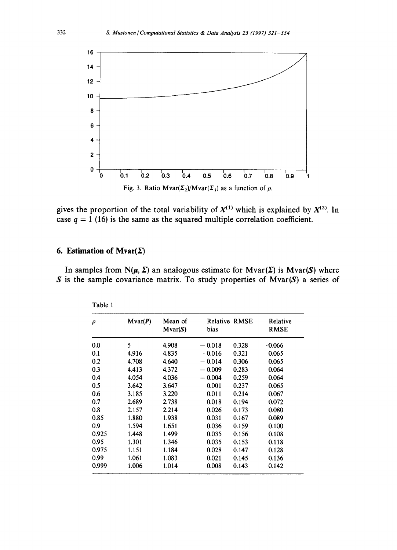

gives the proportion of the total variability of  $X^{(1)}$  which is explained by  $X^{(2)}$ . In case  $q = 1$  (16) is the same as the squared multiple correlation coefficient.

### **6. Estimation of**  $Mvar(\Sigma)$

In samples from  $N(\mu, \Sigma)$  an analogous estimate for  $Mvar(\Sigma)$  is  $Mvar(S)$  where S is the sample covariance matrix. To study properties of Mvar(S) a series of

| ρ     | Mvar(P) | Mean of<br>Mvar(S) | bias                              | <b>Relative RMSE</b> | Relative<br><b>RMSE</b> |
|-------|---------|--------------------|-----------------------------------|----------------------|-------------------------|
| 0.0   | 5       | 4.908              | $-0.018$                          | 0.328                | $-0.066$                |
| 0.1   | 4.916   | 4.835              | $-0.016$                          | 0.321                | 0.065                   |
| 0.2   | 4.708   | 4.640              | $-0.014$                          | 0.306                | 0.065                   |
| 0.3   | 4.413   | 4.372              | $-0.009$                          | 0.283                | 0.064                   |
| 0.4   | 4.054   | 4.036              | 0.004<br>$\overline{\phantom{a}}$ | 0.259                | 0.064                   |
| 0.5   | 3.642   | 3.647              | 0.001                             | 0.237                | 0.065                   |
| 0.6   | 3.185   | 3.220              | 0.011                             | 0.214                | 0.067                   |
| 0.7   | 2.689   | 2.738              | 0.018                             | 0.194                | 0.072                   |
| 0.8   | 2.157   | 2.214              | 0.026                             | 0.173                | 0.080                   |
| 0.85  | 1.880   | 1.938              | 0.031                             | 0.167                | 0.089                   |
| 0.9   | 1.594   | 1.651              | 0.036                             | 0.159                | 0.100                   |
| 0.925 | 1.448   | 1.499              | 0.035                             | 0.156                | 0.108                   |
| 0.95  | 1.301   | 1.346              | 0.035                             | 0.153                | 0.118                   |
| 0.975 | 1.151   | 1.184              | 0.028                             | 0.147                | 0.128                   |
| 0.99  | 1.061   | 1.083              | 0.021                             | 0.145                | 0.136                   |
| 0.999 | 1.006   | 1.014              | 0.008                             | 0.143                | 0.142                   |

| able |  |
|------|--|
|------|--|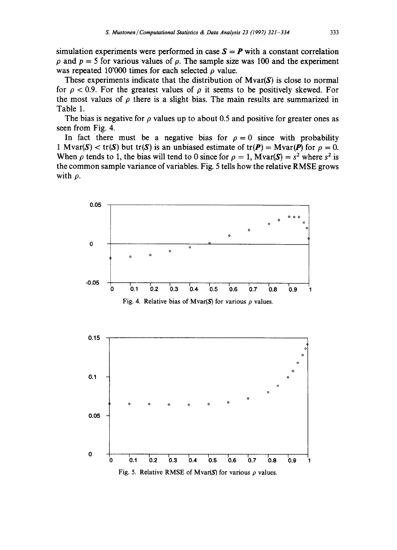simulation experiments were performed in case  $S = P$  with a constant correlation  $\rho$  and  $p = 5$  for various values of  $\rho$ . The sample size was 100 and the experiment was repeated 10'000 times for each selected  $\rho$  value.

These experiments indicate that the distribution of  $Mvar(S)$  is close to normal for  $\rho < 0.9$ . For the greatest values of  $\rho$  it seems to be positively skewed. For the most values of  $\rho$  there is a slight bias. The main results are summarized in Table 1.

The bias is negative for  $\rho$  values up to about 0.5 and positive for greater ones as seen from Fig. 4.

In fact there must be a negative bias for  $\rho = 0$  since with probability 1 Mvar(S) < tr(S) but tr(S) is an unbiased estimate of tr(P) = Mvar(P) for  $\rho = 0$ . When  $\rho$  tends to 1, the bias will tend to 0 since for  $\rho = 1$ , Mvar(S) =  $s^2$  where  $s^2$  is the common sample variance of variables. Fig. 5 tells how the relative RMSE grows with  $\rho$ .